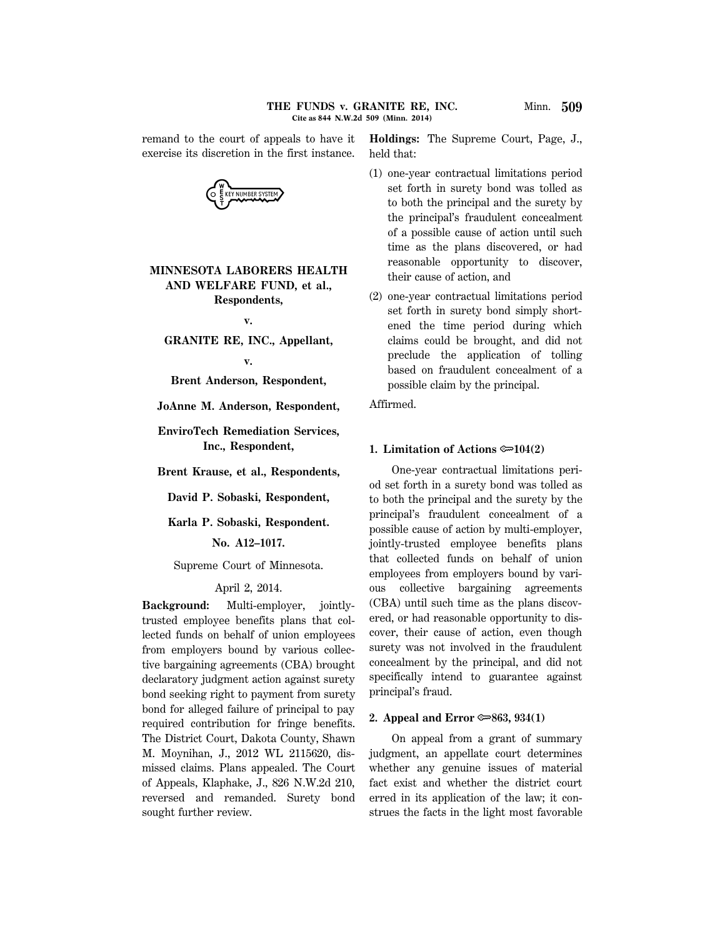remand to the court of appeals to have it exercise its discretion in the first instance.



# **MINNESOTA LABORERS HEALTH AND WELFARE FUND, et al., Respondents,**

**v.**

**GRANITE RE, INC., Appellant,**

**v.**

**Brent Anderson, Respondent,**

**JoAnne M. Anderson, Respondent,**

**EnviroTech Remediation Services, Inc., Respondent,**

**Brent Krause, et al., Respondents,**

**David P. Sobaski, Respondent,**

**Karla P. Sobaski, Respondent.**

**No. A12–1017.**

Supreme Court of Minnesota.

## April 2, 2014.

**Background:** Multi-employer, jointlytrusted employee benefits plans that collected funds on behalf of union employees from employers bound by various collective bargaining agreements (CBA) brought declaratory judgment action against surety bond seeking right to payment from surety bond for alleged failure of principal to pay required contribution for fringe benefits. The District Court, Dakota County, Shawn M. Moynihan, J., 2012 WL 2115620, dismissed claims. Plans appealed. The Court of Appeals, Klaphake, J., 826 N.W.2d 210, reversed and remanded. Surety bond sought further review.

**Holdings:** The Supreme Court, Page, J., held that:

- (1) one-year contractual limitations period set forth in surety bond was tolled as to both the principal and the surety by the principal's fraudulent concealment of a possible cause of action until such time as the plans discovered, or had reasonable opportunity to discover, their cause of action, and
- (2) one-year contractual limitations period set forth in surety bond simply shortened the time period during which claims could be brought, and did not preclude the application of tolling based on fraudulent concealment of a possible claim by the principal.

Affirmed.

### **1. Limitation of Actions**  $\approx 104(2)$

One-year contractual limitations period set forth in a surety bond was tolled as to both the principal and the surety by the principal's fraudulent concealment of a possible cause of action by multi-employer, jointly-trusted employee benefits plans that collected funds on behalf of union employees from employers bound by various collective bargaining agreements (CBA) until such time as the plans discovered, or had reasonable opportunity to discover, their cause of action, even though surety was not involved in the fraudulent concealment by the principal, and did not specifically intend to guarantee against principal's fraud.

## **2. Appeal and Error**  $\approx 863$ **, 934(1)**

On appeal from a grant of summary judgment, an appellate court determines whether any genuine issues of material fact exist and whether the district court erred in its application of the law; it construes the facts in the light most favorable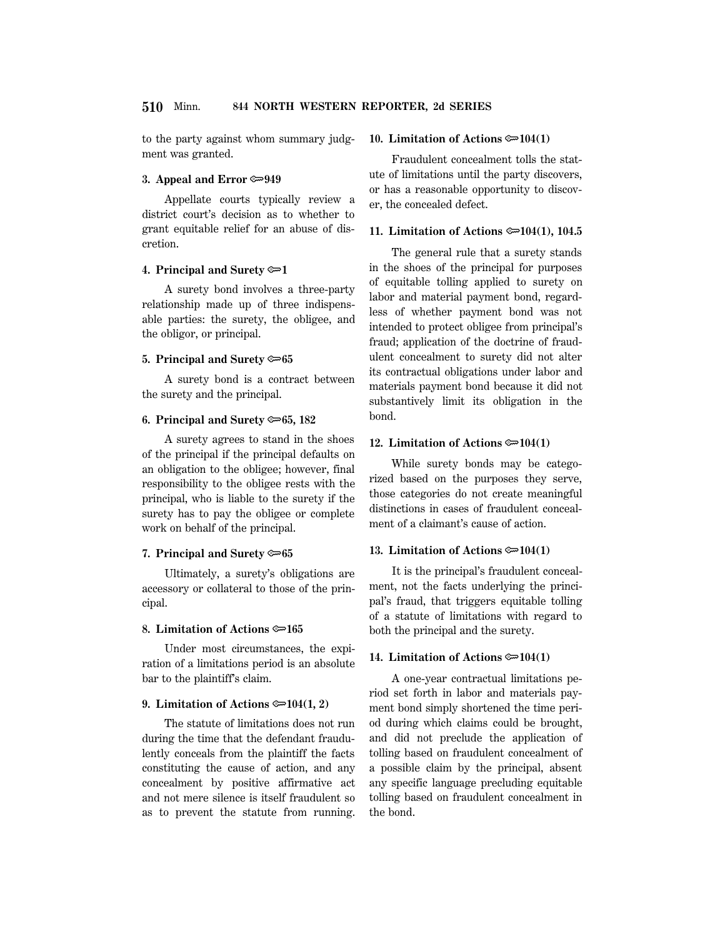to the party against whom summary judgment was granted.

### **3. Appeal and Error**  $\approx 949$

Appellate courts typically review a district court's decision as to whether to grant equitable relief for an abuse of discretion.

## **4. Principal and Surety** O**1**

A surety bond involves a three-party relationship made up of three indispensable parties: the surety, the obligee, and the obligor, or principal.

## **5. Principal and Surety**  $\approx 65$

A surety bond is a contract between the surety and the principal.

## **6. Principal and Surety** O**65, 182**

A surety agrees to stand in the shoes of the principal if the principal defaults on an obligation to the obligee; however, final responsibility to the obligee rests with the principal, who is liable to the surety if the surety has to pay the obligee or complete work on behalf of the principal.

## **7. Principal and Surety**  $\approx 65$

Ultimately, a surety's obligations are accessory or collateral to those of the principal.

## **8. Limitation of Actions**  $\approx 165$

Under most circumstances, the expiration of a limitations period is an absolute bar to the plaintiff's claim.

## **9. Limitation of Actions**  $\approx 104(1, 2)$

The statute of limitations does not run during the time that the defendant fraudulently conceals from the plaintiff the facts constituting the cause of action, and any concealment by positive affirmative act and not mere silence is itself fraudulent so as to prevent the statute from running.

### **10. Limitation of Actions**  $\approx 104(1)$

Fraudulent concealment tolls the statute of limitations until the party discovers, or has a reasonable opportunity to discover, the concealed defect.

## **11. Limitation of Actions**  $\approx 104(1)$ **, 104.5**

The general rule that a surety stands in the shoes of the principal for purposes of equitable tolling applied to surety on labor and material payment bond, regardless of whether payment bond was not intended to protect obligee from principal's fraud; application of the doctrine of fraudulent concealment to surety did not alter its contractual obligations under labor and materials payment bond because it did not substantively limit its obligation in the bond.

## **12. Limitation of Actions**  $\approx 104(1)$

While surety bonds may be categorized based on the purposes they serve, those categories do not create meaningful distinctions in cases of fraudulent concealment of a claimant's cause of action.

## **13. Limitation of Actions**  $\approx 104(1)$

It is the principal's fraudulent concealment, not the facts underlying the principal's fraud, that triggers equitable tolling of a statute of limitations with regard to both the principal and the surety.

## **14. Limitation of Actions**  $\approx 104(1)$

A one-year contractual limitations period set forth in labor and materials payment bond simply shortened the time period during which claims could be brought, and did not preclude the application of tolling based on fraudulent concealment of a possible claim by the principal, absent any specific language precluding equitable tolling based on fraudulent concealment in the bond.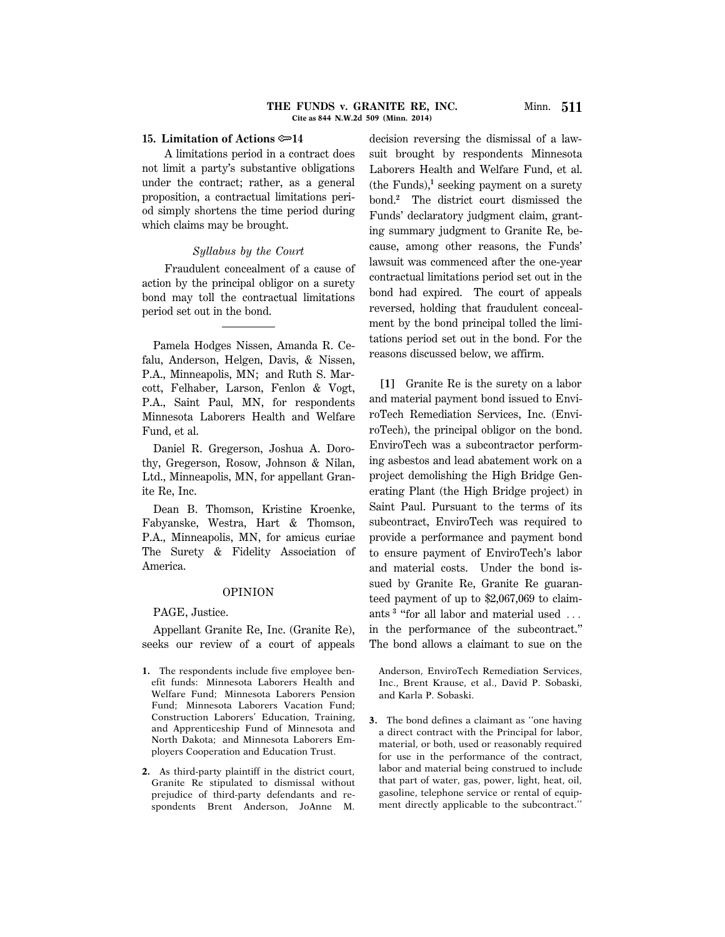#### **THE FUNDS v. GRANITE RE, INC.** Minn. **511 Cite as 844 N.W.2d 509 (Minn. 2014)**

### **15. Limitation of Actions**  $\approx 14$

A limitations period in a contract does not limit a party's substantive obligations under the contract; rather, as a general proposition, a contractual limitations period simply shortens the time period during which claims may be brought.

### *Syllabus by the Court*

Fraudulent concealment of a cause of action by the principal obligor on a surety bond may toll the contractual limitations period set out in the bond.

Pamela Hodges Nissen, Amanda R. Cefalu, Anderson, Helgen, Davis, & Nissen, P.A., Minneapolis, MN; and Ruth S. Marcott, Felhaber, Larson, Fenlon & Vogt, P.A., Saint Paul, MN, for respondents Minnesota Laborers Health and Welfare Fund, et al.

Daniel R. Gregerson, Joshua A. Dorothy, Gregerson, Rosow, Johnson & Nilan, Ltd., Minneapolis, MN, for appellant Granite Re, Inc.

Dean B. Thomson, Kristine Kroenke, Fabyanske, Westra, Hart & Thomson, P.A., Minneapolis, MN, for amicus curiae The Surety & Fidelity Association of America.

#### OPINION

PAGE, Justice.

Appellant Granite Re, Inc. (Granite Re), seeks our review of a court of appeals

- **1.** The respondents include five employee benefit funds: Minnesota Laborers Health and Welfare Fund; Minnesota Laborers Pension Fund; Minnesota Laborers Vacation Fund; Construction Laborers' Education, Training, and Apprenticeship Fund of Minnesota and North Dakota; and Minnesota Laborers Employers Cooperation and Education Trust.
- **2.** As third-party plaintiff in the district court, Granite Re stipulated to dismissal without prejudice of third-party defendants and respondents Brent Anderson, JoAnne M.

decision reversing the dismissal of a lawsuit brought by respondents Minnesota Laborers Health and Welfare Fund, et al. (the Funds),**<sup>1</sup>** seeking payment on a surety bond.**<sup>2</sup>** The district court dismissed the Funds' declaratory judgment claim, granting summary judgment to Granite Re, because, among other reasons, the Funds' lawsuit was commenced after the one-year contractual limitations period set out in the bond had expired. The court of appeals reversed, holding that fraudulent concealment by the bond principal tolled the limitations period set out in the bond. For the reasons discussed below, we affirm.

**[1]** Granite Re is the surety on a labor and material payment bond issued to EnviroTech Remediation Services, Inc. (EnviroTech), the principal obligor on the bond. EnviroTech was a subcontractor performing asbestos and lead abatement work on a project demolishing the High Bridge Generating Plant (the High Bridge project) in Saint Paul. Pursuant to the terms of its subcontract, EnviroTech was required to provide a performance and payment bond to ensure payment of EnviroTech's labor and material costs. Under the bond issued by Granite Re, Granite Re guaranteed payment of up to \$2,067,069 to claimants  $3$  "for all labor and material used  $\ldots$ in the performance of the subcontract.'' The bond allows a claimant to sue on the

Anderson, EnviroTech Remediation Services, Inc., Brent Krause, et al., David P. Sobaski, and Karla P. Sobaski.

**3.** The bond defines a claimant as ''one having a direct contract with the Principal for labor, material, or both, used or reasonably required for use in the performance of the contract, labor and material being construed to include that part of water, gas, power, light, heat, oil, gasoline, telephone service or rental of equipment directly applicable to the subcontract.''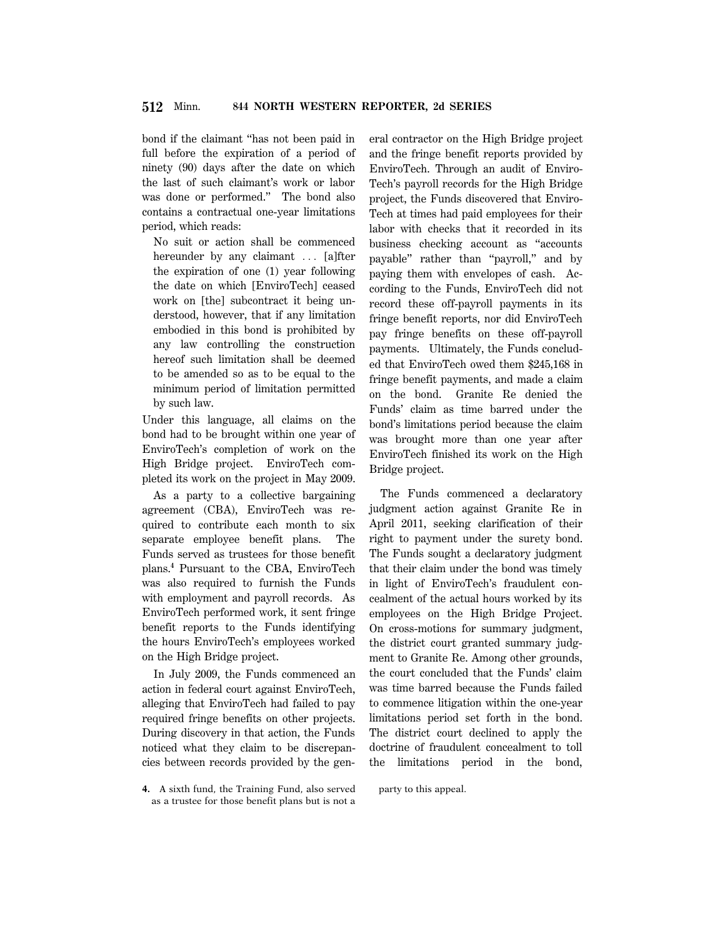bond if the claimant ''has not been paid in full before the expiration of a period of ninety (90) days after the date on which the last of such claimant's work or labor was done or performed.'' The bond also contains a contractual one-year limitations period, which reads:

No suit or action shall be commenced hereunder by any claimant ... [a]fter the expiration of one (1) year following the date on which [EnviroTech] ceased work on [the] subcontract it being understood, however, that if any limitation embodied in this bond is prohibited by any law controlling the construction hereof such limitation shall be deemed to be amended so as to be equal to the minimum period of limitation permitted by such law.

Under this language, all claims on the bond had to be brought within one year of EnviroTech's completion of work on the High Bridge project. EnviroTech completed its work on the project in May 2009.

As a party to a collective bargaining agreement (CBA), EnviroTech was required to contribute each month to six separate employee benefit plans. The Funds served as trustees for those benefit plans.**<sup>4</sup>** Pursuant to the CBA, EnviroTech was also required to furnish the Funds with employment and payroll records. As EnviroTech performed work, it sent fringe benefit reports to the Funds identifying the hours EnviroTech's employees worked on the High Bridge project.

In July 2009, the Funds commenced an action in federal court against EnviroTech, alleging that EnviroTech had failed to pay required fringe benefits on other projects. During discovery in that action, the Funds noticed what they claim to be discrepancies between records provided by the gen-

**4.** A sixth fund, the Training Fund, also served as a trustee for those benefit plans but is not a eral contractor on the High Bridge project and the fringe benefit reports provided by EnviroTech. Through an audit of Enviro-Tech's payroll records for the High Bridge project, the Funds discovered that Enviro-Tech at times had paid employees for their labor with checks that it recorded in its business checking account as ''accounts payable'' rather than ''payroll,'' and by paying them with envelopes of cash. According to the Funds, EnviroTech did not record these off-payroll payments in its fringe benefit reports, nor did EnviroTech pay fringe benefits on these off-payroll payments. Ultimately, the Funds concluded that EnviroTech owed them \$245,168 in fringe benefit payments, and made a claim on the bond. Granite Re denied the Funds' claim as time barred under the bond's limitations period because the claim was brought more than one year after EnviroTech finished its work on the High Bridge project.

The Funds commenced a declaratory judgment action against Granite Re in April 2011, seeking clarification of their right to payment under the surety bond. The Funds sought a declaratory judgment that their claim under the bond was timely in light of EnviroTech's fraudulent concealment of the actual hours worked by its employees on the High Bridge Project. On cross-motions for summary judgment, the district court granted summary judgment to Granite Re. Among other grounds, the court concluded that the Funds' claim was time barred because the Funds failed to commence litigation within the one-year limitations period set forth in the bond. The district court declined to apply the doctrine of fraudulent concealment to toll the limitations period in the bond,

party to this appeal.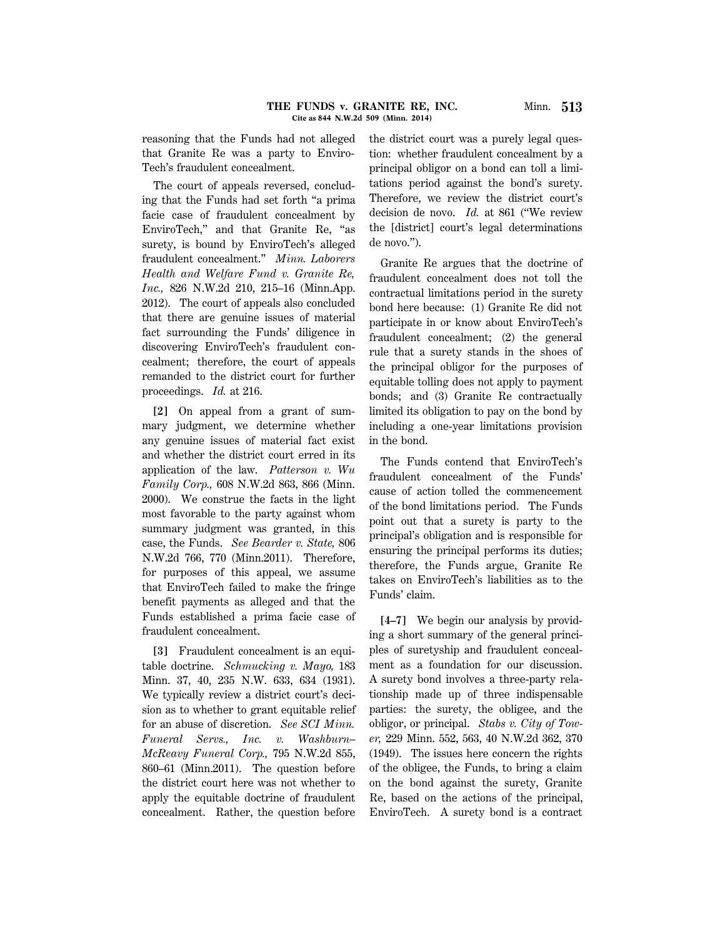### **THE FUNDS v. GRANITE RE, INC.** Minn. **513 Cite as 844 N.W.2d 509 (Minn. 2014)**

reasoning that the Funds had not alleged that Granite Re was a party to Enviro-Tech's fraudulent concealment.

The court of appeals reversed, concluding that the Funds had set forth ''a prima facie case of fraudulent concealment by EnviroTech,'' and that Granite Re, ''as surety, is bound by EnviroTech's alleged fraudulent concealment.'' *Minn. Laborers Health and Welfare Fund v. Granite Re, Inc.,* 826 N.W.2d 210, 215–16 (Minn.App. 2012). The court of appeals also concluded that there are genuine issues of material fact surrounding the Funds' diligence in discovering EnviroTech's fraudulent concealment; therefore, the court of appeals remanded to the district court for further proceedings. *Id.* at 216.

**[2]** On appeal from a grant of summary judgment, we determine whether any genuine issues of material fact exist and whether the district court erred in its application of the law. *Patterson v. Wu Family Corp.,* 608 N.W.2d 863, 866 (Minn. 2000). We construe the facts in the light most favorable to the party against whom summary judgment was granted, in this case, the Funds. *See Bearder v. State,* 806 N.W.2d 766, 770 (Minn.2011). Therefore, for purposes of this appeal, we assume that EnviroTech failed to make the fringe benefit payments as alleged and that the Funds established a prima facie case of fraudulent concealment.

**[3]** Fraudulent concealment is an equitable doctrine. *Schmucking v. Mayo,* 183 Minn. 37, 40, 235 N.W. 633, 634 (1931). We typically review a district court's decision as to whether to grant equitable relief for an abuse of discretion. *See SCI Minn. Funeral Servs., Inc. v. Washburn– McReavy Funeral Corp.,* 795 N.W.2d 855, 860–61 (Minn.2011). The question before the district court here was not whether to apply the equitable doctrine of fraudulent concealment. Rather, the question before

the district court was a purely legal question: whether fraudulent concealment by a principal obligor on a bond can toll a limitations period against the bond's surety. Therefore, we review the district court's decision de novo. *Id.* at 861 (''We review the [district] court's legal determinations de novo.'').

Granite Re argues that the doctrine of fraudulent concealment does not toll the contractual limitations period in the surety bond here because: (1) Granite Re did not participate in or know about EnviroTech's fraudulent concealment; (2) the general rule that a surety stands in the shoes of the principal obligor for the purposes of equitable tolling does not apply to payment bonds; and (3) Granite Re contractually limited its obligation to pay on the bond by including a one-year limitations provision in the bond.

The Funds contend that EnviroTech's fraudulent concealment of the Funds' cause of action tolled the commencement of the bond limitations period. The Funds point out that a surety is party to the principal's obligation and is responsible for ensuring the principal performs its duties; therefore, the Funds argue, Granite Re takes on EnviroTech's liabilities as to the Funds' claim.

**[4–7]** We begin our analysis by providing a short summary of the general principles of suretyship and fraudulent concealment as a foundation for our discussion. A surety bond involves a three-party relationship made up of three indispensable parties: the surety, the obligee, and the obligor, or principal. *Stabs v. City of Tower,* 229 Minn. 552, 563, 40 N.W.2d 362, 370 (1949). The issues here concern the rights of the obligee, the Funds, to bring a claim on the bond against the surety, Granite Re, based on the actions of the principal, EnviroTech. A surety bond is a contract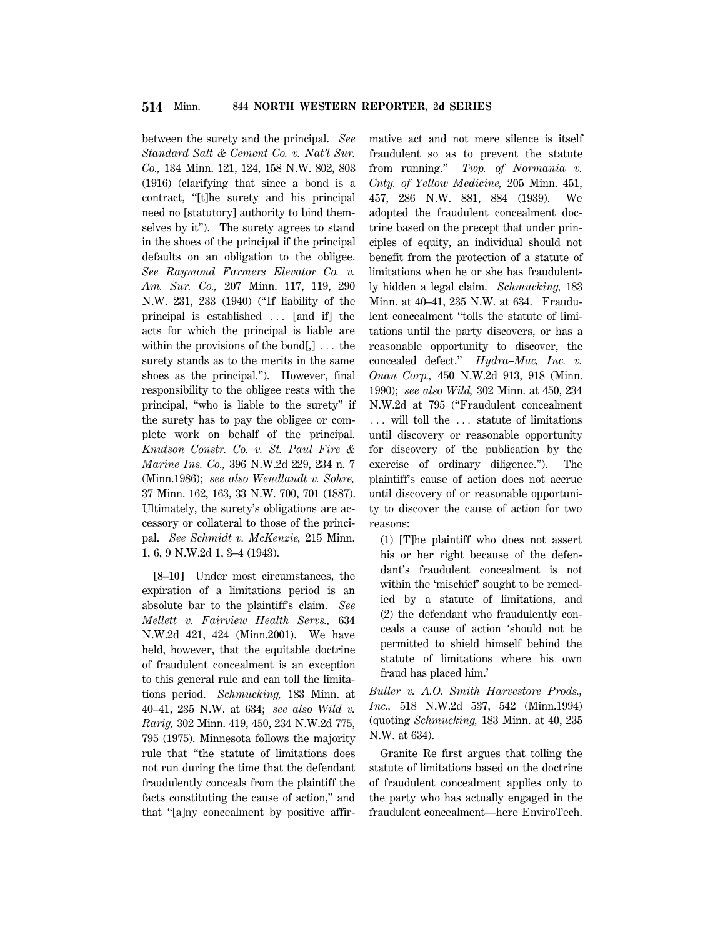between the surety and the principal. *See Standard Salt & Cement Co. v. Nat'l Sur. Co.,* 134 Minn. 121, 124, 158 N.W. 802, 803 (1916) (clarifying that since a bond is a contract, ''[t]he surety and his principal need no [statutory] authority to bind themselves by it''). The surety agrees to stand in the shoes of the principal if the principal defaults on an obligation to the obligee. *See Raymond Farmers Elevator Co. v. Am. Sur. Co.,* 207 Minn. 117, 119, 290 N.W. 231, 233 (1940) (''If liability of the principal is established  $\ldots$  [and if] the acts for which the principal is liable are within the provisions of the bond[,]  $\ldots$  the surety stands as to the merits in the same shoes as the principal.''). However, final responsibility to the obligee rests with the principal, ''who is liable to the surety'' if the surety has to pay the obligee or complete work on behalf of the principal. *Knutson Constr. Co. v. St. Paul Fire & Marine Ins. Co.,* 396 N.W.2d 229, 234 n. 7 (Minn.1986); *see also Wendlandt v. Sohre,* 37 Minn. 162, 163, 33 N.W. 700, 701 (1887). Ultimately, the surety's obligations are accessory or collateral to those of the principal. *See Schmidt v. McKenzie,* 215 Minn. 1, 6, 9 N.W.2d 1, 3–4 (1943).

**[8–10]** Under most circumstances, the expiration of a limitations period is an absolute bar to the plaintiff's claim. *See Mellett v. Fairview Health Servs.,* 634 N.W.2d 421, 424 (Minn.2001). We have held, however, that the equitable doctrine of fraudulent concealment is an exception to this general rule and can toll the limitations period. *Schmucking,* 183 Minn. at 40–41, 235 N.W. at 634; *see also Wild v. Rarig,* 302 Minn. 419, 450, 234 N.W.2d 775, 795 (1975). Minnesota follows the majority rule that ''the statute of limitations does not run during the time that the defendant fraudulently conceals from the plaintiff the facts constituting the cause of action,'' and that ''[a]ny concealment by positive affirmative act and not mere silence is itself fraudulent so as to prevent the statute from running.'' *Twp. of Normania v. Cnty. of Yellow Medicine,* 205 Minn. 451, 457, 286 N.W. 881, 884 (1939). We adopted the fraudulent concealment doctrine based on the precept that under principles of equity, an individual should not benefit from the protection of a statute of limitations when he or she has fraudulently hidden a legal claim. *Schmucking,* 183 Minn. at 40–41, 235 N.W. at 634. Fraudulent concealment ''tolls the statute of limitations until the party discovers, or has a reasonable opportunity to discover, the concealed defect.'' *Hydra–Mac, Inc. v. Onan Corp.,* 450 N.W.2d 913, 918 (Minn. 1990); *see also Wild,* 302 Minn. at 450, 234 N.W.2d at 795 (''Fraudulent concealment ... will toll the ... statute of limitations until discovery or reasonable opportunity for discovery of the publication by the exercise of ordinary diligence.''). The plaintiff's cause of action does not accrue until discovery of or reasonable opportunity to discover the cause of action for two reasons:

(1) [T]he plaintiff who does not assert his or her right because of the defendant's fraudulent concealment is not within the 'mischief' sought to be remedied by a statute of limitations, and (2) the defendant who fraudulently conceals a cause of action 'should not be permitted to shield himself behind the statute of limitations where his own fraud has placed him.'

*Buller v. A.O. Smith Harvestore Prods., Inc.,* 518 N.W.2d 537, 542 (Minn.1994) (quoting *Schmucking,* 183 Minn. at 40, 235 N.W. at 634).

Granite Re first argues that tolling the statute of limitations based on the doctrine of fraudulent concealment applies only to the party who has actually engaged in the fraudulent concealment—here EnviroTech.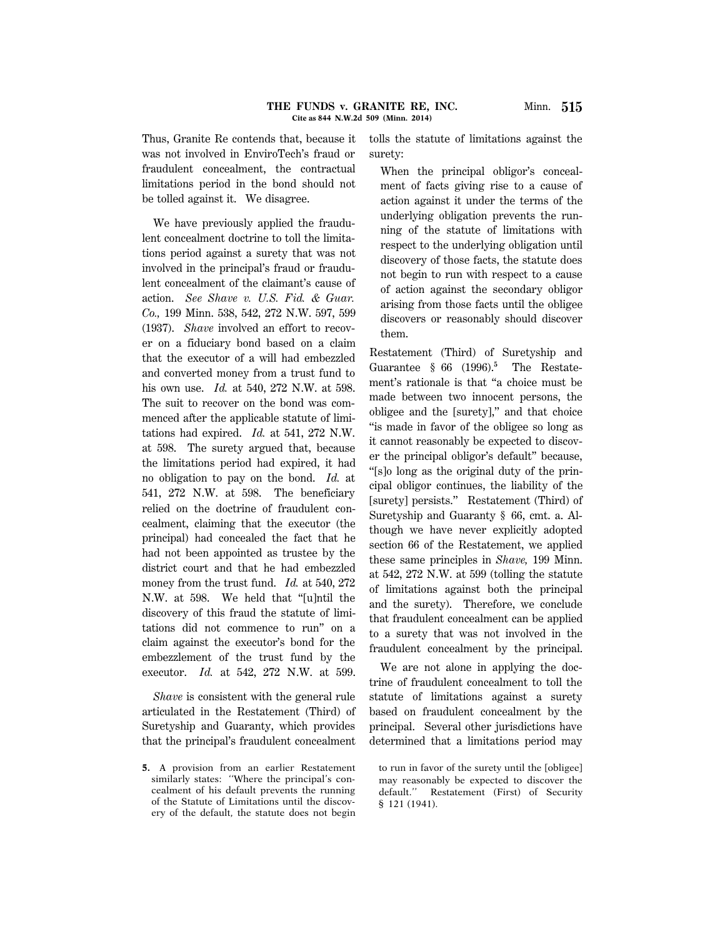Thus, Granite Re contends that, because it was not involved in EnviroTech's fraud or fraudulent concealment, the contractual limitations period in the bond should not be tolled against it. We disagree.

We have previously applied the fraudulent concealment doctrine to toll the limitations period against a surety that was not involved in the principal's fraud or fraudulent concealment of the claimant's cause of action. *See Shave v. U.S. Fid. & Guar. Co.,* 199 Minn. 538, 542, 272 N.W. 597, 599 (1937). *Shave* involved an effort to recover on a fiduciary bond based on a claim that the executor of a will had embezzled and converted money from a trust fund to his own use. *Id.* at 540, 272 N.W. at 598. The suit to recover on the bond was commenced after the applicable statute of limitations had expired. *Id.* at 541, 272 N.W. at 598. The surety argued that, because the limitations period had expired, it had no obligation to pay on the bond. *Id.* at 541, 272 N.W. at 598. The beneficiary relied on the doctrine of fraudulent concealment, claiming that the executor (the principal) had concealed the fact that he had not been appointed as trustee by the district court and that he had embezzled money from the trust fund. *Id.* at 540, 272 N.W. at 598. We held that ''[u]ntil the discovery of this fraud the statute of limitations did not commence to run'' on a claim against the executor's bond for the embezzlement of the trust fund by the executor. *Id.* at 542, 272 N.W. at 599.

*Shave* is consistent with the general rule articulated in the Restatement (Third) of Suretyship and Guaranty, which provides that the principal's fraudulent concealment tolls the statute of limitations against the surety:

When the principal obligor's concealment of facts giving rise to a cause of action against it under the terms of the underlying obligation prevents the running of the statute of limitations with respect to the underlying obligation until discovery of those facts, the statute does not begin to run with respect to a cause of action against the secondary obligor arising from those facts until the obligee discovers or reasonably should discover them.

Restatement (Third) of Suretyship and Guarantee § 66 (1996).**<sup>5</sup>** The Restatement's rationale is that ''a choice must be made between two innocent persons, the obligee and the [surety],'' and that choice ''is made in favor of the obligee so long as it cannot reasonably be expected to discover the principal obligor's default'' because, ''[s]o long as the original duty of the principal obligor continues, the liability of the [surety] persists.'' Restatement (Third) of Suretyship and Guaranty § 66, cmt. a. Although we have never explicitly adopted section 66 of the Restatement, we applied these same principles in *Shave,* 199 Minn. at 542, 272 N.W. at 599 (tolling the statute of limitations against both the principal and the surety). Therefore, we conclude that fraudulent concealment can be applied to a surety that was not involved in the fraudulent concealment by the principal.

We are not alone in applying the doctrine of fraudulent concealment to toll the statute of limitations against a surety based on fraudulent concealment by the principal. Several other jurisdictions have determined that a limitations period may

**<sup>5.</sup>** A provision from an earlier Restatement similarly states: ''Where the principal's concealment of his default prevents the running of the Statute of Limitations until the discovery of the default, the statute does not begin

to run in favor of the surety until the [obligee] may reasonably be expected to discover the default.'' Restatement (First) of Security § 121 (1941).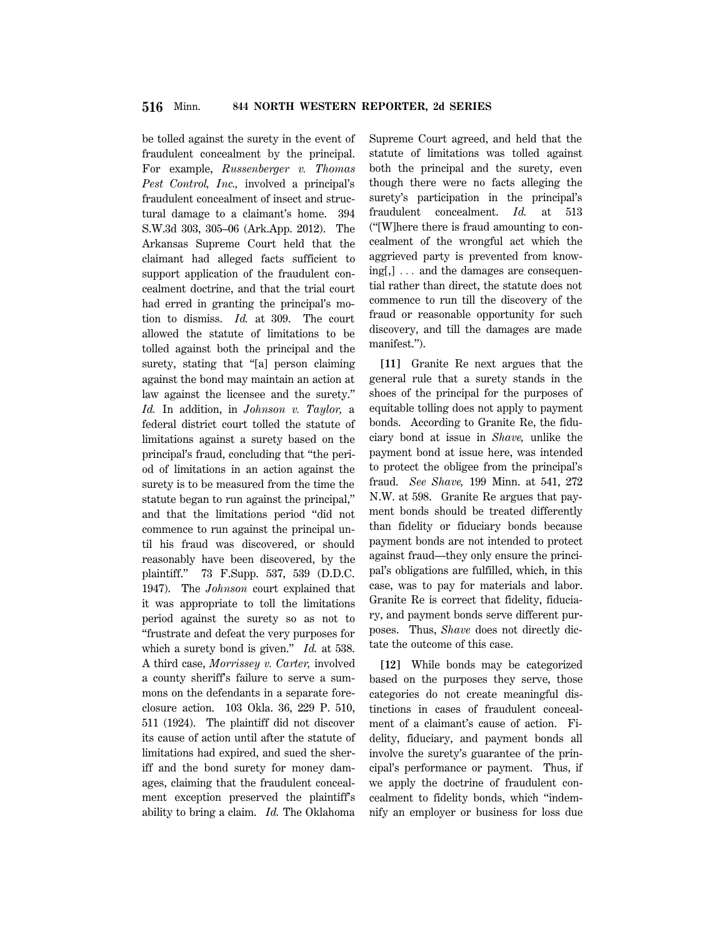be tolled against the surety in the event of fraudulent concealment by the principal. For example, *Russenberger v. Thomas Pest Control, Inc.,* involved a principal's fraudulent concealment of insect and structural damage to a claimant's home. 394 S.W.3d 303, 305–06 (Ark.App. 2012). The Arkansas Supreme Court held that the claimant had alleged facts sufficient to support application of the fraudulent concealment doctrine, and that the trial court had erred in granting the principal's motion to dismiss. *Id.* at 309. The court allowed the statute of limitations to be tolled against both the principal and the surety, stating that "[a] person claiming against the bond may maintain an action at law against the licensee and the surety.'' *Id.* In addition, in *Johnson v. Taylor,* a federal district court tolled the statute of limitations against a surety based on the principal's fraud, concluding that ''the period of limitations in an action against the surety is to be measured from the time the statute began to run against the principal,'' and that the limitations period ''did not commence to run against the principal until his fraud was discovered, or should reasonably have been discovered, by the plaintiff.'' 73 F.Supp. 537, 539 (D.D.C. 1947). The *Johnson* court explained that it was appropriate to toll the limitations period against the surety so as not to ''frustrate and defeat the very purposes for which a surety bond is given.'' *Id.* at 538. A third case, *Morrissey v. Carter,* involved a county sheriff's failure to serve a summons on the defendants in a separate foreclosure action. 103 Okla. 36, 229 P. 510, 511 (1924). The plaintiff did not discover its cause of action until after the statute of limitations had expired, and sued the sheriff and the bond surety for money damages, claiming that the fraudulent concealment exception preserved the plaintiff's ability to bring a claim. *Id.* The Oklahoma Supreme Court agreed, and held that the statute of limitations was tolled against both the principal and the surety, even though there were no facts alleging the surety's participation in the principal's fraudulent concealment. *Id.* at 513 (''[W]here there is fraud amounting to concealment of the wrongful act which the aggrieved party is prevented from know $ing[,] \ldots$  and the damages are consequential rather than direct, the statute does not commence to run till the discovery of the fraud or reasonable opportunity for such discovery, and till the damages are made manifest.'').

**[11]** Granite Re next argues that the general rule that a surety stands in the shoes of the principal for the purposes of equitable tolling does not apply to payment bonds. According to Granite Re, the fiduciary bond at issue in *Shave,* unlike the payment bond at issue here, was intended to protect the obligee from the principal's fraud. *See Shave,* 199 Minn. at 541, 272 N.W. at 598. Granite Re argues that payment bonds should be treated differently than fidelity or fiduciary bonds because payment bonds are not intended to protect against fraud—they only ensure the principal's obligations are fulfilled, which, in this case, was to pay for materials and labor. Granite Re is correct that fidelity, fiduciary, and payment bonds serve different purposes. Thus, *Shave* does not directly dictate the outcome of this case.

**[12]** While bonds may be categorized based on the purposes they serve, those categories do not create meaningful distinctions in cases of fraudulent concealment of a claimant's cause of action. Fidelity, fiduciary, and payment bonds all involve the surety's guarantee of the principal's performance or payment. Thus, if we apply the doctrine of fraudulent concealment to fidelity bonds, which ''indemnify an employer or business for loss due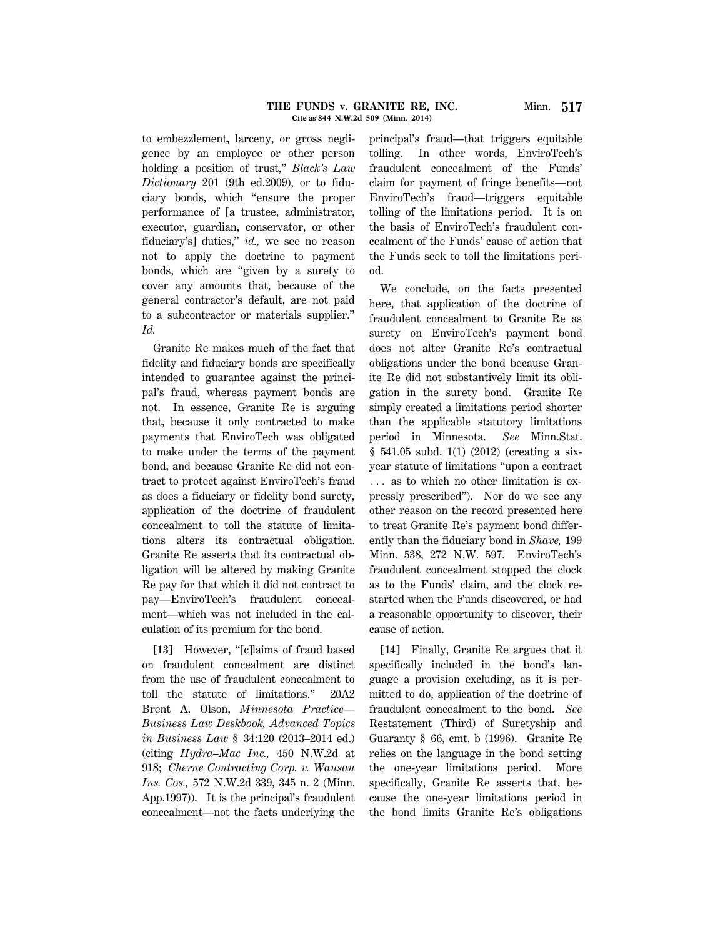to embezzlement, larceny, or gross negligence by an employee or other person holding a position of trust,'' *Black's Law Dictionary* 201 (9th ed.2009), or to fiduciary bonds, which ''ensure the proper performance of [a trustee, administrator, executor, guardian, conservator, or other fiduciary's] duties,'' *id.,* we see no reason not to apply the doctrine to payment bonds, which are ''given by a surety to cover any amounts that, because of the general contractor's default, are not paid to a subcontractor or materials supplier.'' *Id.*

Granite Re makes much of the fact that fidelity and fiduciary bonds are specifically intended to guarantee against the principal's fraud, whereas payment bonds are not. In essence, Granite Re is arguing that, because it only contracted to make payments that EnviroTech was obligated to make under the terms of the payment bond, and because Granite Re did not contract to protect against EnviroTech's fraud as does a fiduciary or fidelity bond surety, application of the doctrine of fraudulent concealment to toll the statute of limitations alters its contractual obligation. Granite Re asserts that its contractual obligation will be altered by making Granite Re pay for that which it did not contract to pay—EnviroTech's fraudulent concealment—which was not included in the calculation of its premium for the bond.

[13] However, "[c]laims of fraud based on fraudulent concealment are distinct from the use of fraudulent concealment to toll the statute of limitations.'' 20A2 Brent A. Olson, *Minnesota Practice— Business Law Deskbook, Advanced Topics in Business Law* § 34:120 (2013–2014 ed.) (citing *Hydra–Mac Inc.,* 450 N.W.2d at 918; *Cherne Contracting Corp. v. Wausau Ins. Cos.,* 572 N.W.2d 339, 345 n. 2 (Minn. App.1997)). It is the principal's fraudulent concealment—not the facts underlying the principal's fraud—that triggers equitable tolling. In other words, EnviroTech's fraudulent concealment of the Funds' claim for payment of fringe benefits—not EnviroTech's fraud—triggers equitable tolling of the limitations period. It is on the basis of EnviroTech's fraudulent concealment of the Funds' cause of action that the Funds seek to toll the limitations period.

We conclude, on the facts presented here, that application of the doctrine of fraudulent concealment to Granite Re as surety on EnviroTech's payment bond does not alter Granite Re's contractual obligations under the bond because Granite Re did not substantively limit its obligation in the surety bond. Granite Re simply created a limitations period shorter than the applicable statutory limitations period in Minnesota. *See* Minn.Stat. § 541.05 subd. 1(1) (2012) (creating a sixyear statute of limitations ''upon a contract ... as to which no other limitation is expressly prescribed''). Nor do we see any other reason on the record presented here to treat Granite Re's payment bond differently than the fiduciary bond in *Shave,* 199 Minn. 538, 272 N.W. 597. EnviroTech's fraudulent concealment stopped the clock as to the Funds' claim, and the clock restarted when the Funds discovered, or had a reasonable opportunity to discover, their cause of action.

**[14]** Finally, Granite Re argues that it specifically included in the bond's language a provision excluding, as it is permitted to do, application of the doctrine of fraudulent concealment to the bond. *See* Restatement (Third) of Suretyship and Guaranty § 66, cmt. b (1996). Granite Re relies on the language in the bond setting the one-year limitations period. More specifically, Granite Re asserts that, because the one-year limitations period in the bond limits Granite Re's obligations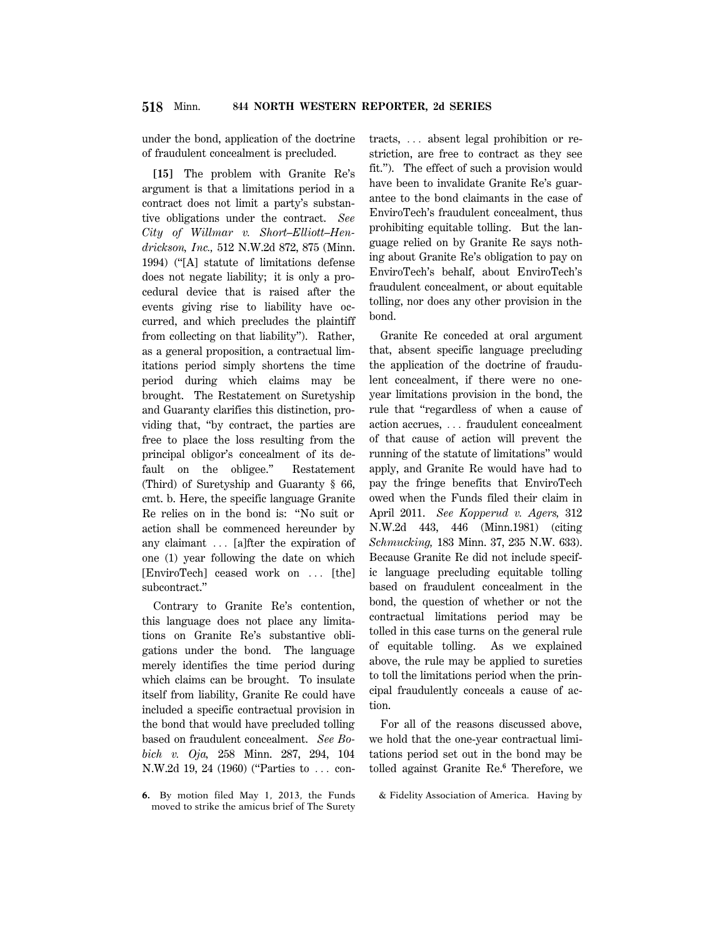under the bond, application of the doctrine of fraudulent concealment is precluded.

**[15]** The problem with Granite Re's argument is that a limitations period in a contract does not limit a party's substantive obligations under the contract. *See City of Willmar v. Short–Elliott–Hendrickson, Inc.,* 512 N.W.2d 872, 875 (Minn. 1994) (''[A] statute of limitations defense does not negate liability; it is only a procedural device that is raised after the events giving rise to liability have occurred, and which precludes the plaintiff from collecting on that liability''). Rather, as a general proposition, a contractual limitations period simply shortens the time period during which claims may be brought. The Restatement on Suretyship and Guaranty clarifies this distinction, providing that, ''by contract, the parties are free to place the loss resulting from the principal obligor's concealment of its default on the obligee.'' Restatement (Third) of Suretyship and Guaranty § 66, cmt. b. Here, the specific language Granite Re relies on in the bond is: ''No suit or action shall be commenced hereunder by any claimant  $\ldots$  [a]fter the expiration of one (1) year following the date on which [EnviroTech] ceased work on ... [the] subcontract.''

Contrary to Granite Re's contention, this language does not place any limitations on Granite Re's substantive obligations under the bond. The language merely identifies the time period during which claims can be brought. To insulate itself from liability, Granite Re could have included a specific contractual provision in the bond that would have precluded tolling based on fraudulent concealment. *See Bobich v. Oja,* 258 Minn. 287, 294, 104  $N.W.2d 19, 24 (1960)$  ("Parties to  $\ldots$  con-

**6.** By motion filed May 1, 2013, the Funds moved to strike the amicus brief of The Surety tracts,  $\ldots$  absent legal prohibition or restriction, are free to contract as they see fit.''). The effect of such a provision would have been to invalidate Granite Re's guarantee to the bond claimants in the case of EnviroTech's fraudulent concealment, thus prohibiting equitable tolling. But the language relied on by Granite Re says nothing about Granite Re's obligation to pay on EnviroTech's behalf, about EnviroTech's fraudulent concealment, or about equitable tolling, nor does any other provision in the bond.

Granite Re conceded at oral argument that, absent specific language precluding the application of the doctrine of fraudulent concealment, if there were no oneyear limitations provision in the bond, the rule that ''regardless of when a cause of action accrues, ... fraudulent concealment of that cause of action will prevent the running of the statute of limitations'' would apply, and Granite Re would have had to pay the fringe benefits that EnviroTech owed when the Funds filed their claim in April 2011. *See Kopperud v. Agers,* 312 N.W.2d 443, 446 (Minn.1981) (citing *Schmucking,* 183 Minn. 37, 235 N.W. 633). Because Granite Re did not include specific language precluding equitable tolling based on fraudulent concealment in the bond, the question of whether or not the contractual limitations period may be tolled in this case turns on the general rule of equitable tolling. As we explained above, the rule may be applied to sureties to toll the limitations period when the principal fraudulently conceals a cause of action.

For all of the reasons discussed above, we hold that the one-year contractual limitations period set out in the bond may be tolled against Granite Re.**<sup>6</sup>** Therefore, we

& Fidelity Association of America. Having by